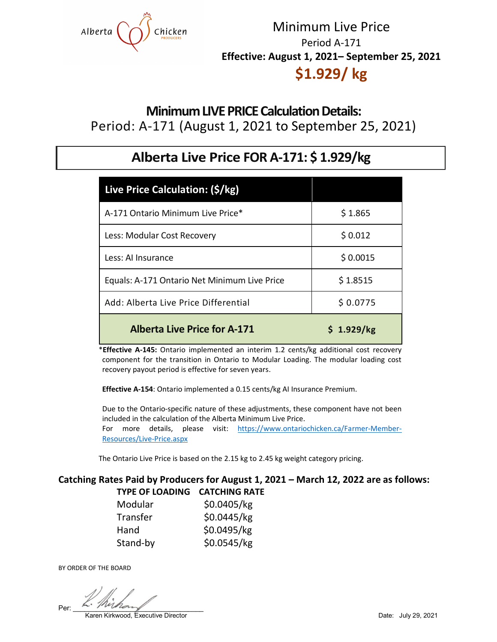

### Minimum Live Price Period A-171 **Effective: August 1, 2021– September 25, 2021 \$1.929/ kg**

# **Minimum LIVE PRICE Calculation Details:**

Period: A-171 (August 1, 2021 to September 25, 2021)

### **Alberta Live Price FOR A-171: \$ 1.929/kg**

| Live Price Calculation: (\$/kg)              |            |
|----------------------------------------------|------------|
| A-171 Ontario Minimum Live Price*            | \$1.865    |
| Less: Modular Cost Recovery                  | \$0.012    |
| Less: Al Insurance                           | \$0.0015   |
| Equals: A-171 Ontario Net Minimum Live Price | \$1.8515   |
| Add: Alberta Live Price Differential         | \$0.0775   |
| <b>Alberta Live Price for A-171</b>          | \$1.929/kg |

\***Effective A-145:** Ontario implemented an interim 1.2 cents/kg additional cost recovery component for the transition in Ontario to Modular Loading. The modular loading cost recovery payout period is effective for seven years.

 **Effective A-154**: Ontario implemented a 0.15 cents/kg AI Insurance Premium.

 Due to the Ontario-specific nature of these adjustments, these component have not been included in the calculation of the Alberta Minimum Live Price. For more details, please visit: [https://www.ontariochicken.ca/Farmer-Member-](https://www.ontariochicken.ca/Farmer-Member-Resources/Live-Price.aspx)[Resources/Live-Price.aspx](https://www.ontariochicken.ca/Farmer-Member-Resources/Live-Price.aspx)

The Ontario Live Price is based on the 2.15 kg to 2.45 kg weight category pricing.

### **Catching Rates Paid by Producers for August 1, 2021 – March 12, 2022 are as follows: TYPE OF LOADING CATCHING RATE**

| Modular  | \$0.0405/kg |
|----------|-------------|
| Transfer | \$0.0445/kg |
| Hand     | \$0.0495/kg |
| Stand-by | \$0.0545/kg |

BY ORDER OF THE BOARD

 $Per: \begin{array}{c} \sim \\ \sim \end{array}$ 

Karen Kirkwood, Executive Director **Date: 1998** Controller Unit 29, 2021